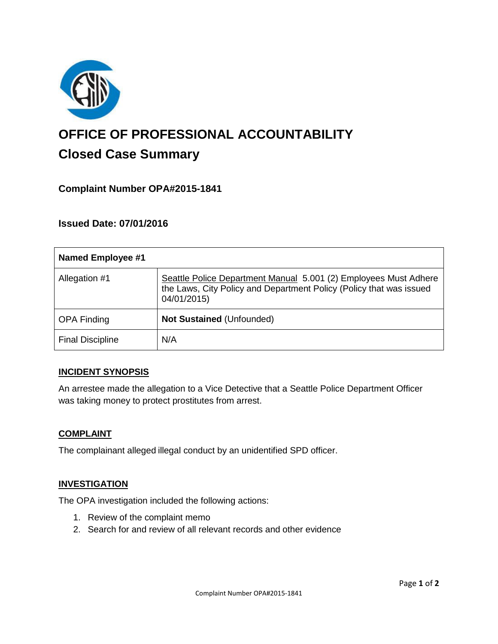

# **OFFICE OF PROFESSIONAL ACCOUNTABILITY Closed Case Summary**

# **Complaint Number OPA#2015-1841**

## **Issued Date: 07/01/2016**

| <b>Named Employee #1</b> |                                                                                                                                                        |
|--------------------------|--------------------------------------------------------------------------------------------------------------------------------------------------------|
| Allegation #1            | Seattle Police Department Manual 5.001 (2) Employees Must Adhere<br>the Laws, City Policy and Department Policy (Policy that was issued<br>04/01/2015) |
| <b>OPA Finding</b>       | <b>Not Sustained (Unfounded)</b>                                                                                                                       |
| <b>Final Discipline</b>  | N/A                                                                                                                                                    |

#### **INCIDENT SYNOPSIS**

An arrestee made the allegation to a Vice Detective that a Seattle Police Department Officer was taking money to protect prostitutes from arrest.

#### **COMPLAINT**

The complainant alleged illegal conduct by an unidentified SPD officer.

#### **INVESTIGATION**

The OPA investigation included the following actions:

- 1. Review of the complaint memo
- 2. Search for and review of all relevant records and other evidence